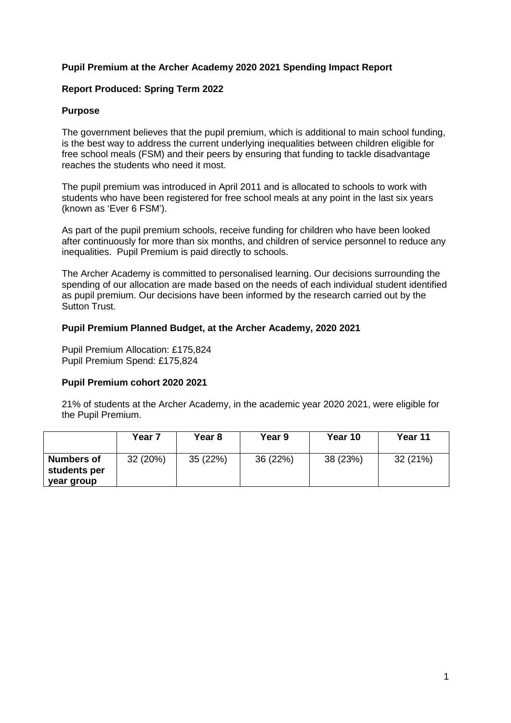## **Pupil Premium at the Archer Academy 2020 2021 Spending Impact Report**

#### **Report Produced: Spring Term 2022**

#### **Purpose**

The government believes that the pupil premium, which is additional to main school funding, is the best way to address the current underlying inequalities between children eligible for free school meals (FSM) and their peers by ensuring that funding to tackle disadvantage reaches the students who need it most.

The pupil premium was introduced in April 2011 and is allocated to schools to work with students who have been registered for free school meals at any point in the last six years (known as 'Ever 6 FSM').

As part of the pupil premium schools, receive funding for children who have been looked after continuously for more than six months, and children of service personnel to reduce any inequalities. Pupil Premium is paid directly to schools.

The Archer Academy is committed to personalised learning. Our decisions surrounding the spending of our allocation are made based on the needs of each individual student identified as pupil premium. Our decisions have been informed by the research carried out by the Sutton Trust.

#### **Pupil Premium Planned Budget, at the Archer Academy, 2020 2021**

Pupil Premium Allocation: £175,824 Pupil Premium Spend: £175,824

#### **Pupil Premium cohort 2020 2021**

21% of students at the Archer Academy, in the academic year 2020 2021, were eligible for the Pupil Premium.

|                                          | Year 7   | Year 8   | <b>Year 9</b> | Year 10  | Year 11  |
|------------------------------------------|----------|----------|---------------|----------|----------|
| Numbers of<br>students per<br>year group | 32 (20%) | 35 (22%) | 36 (22%)      | 38 (23%) | 32 (21%) |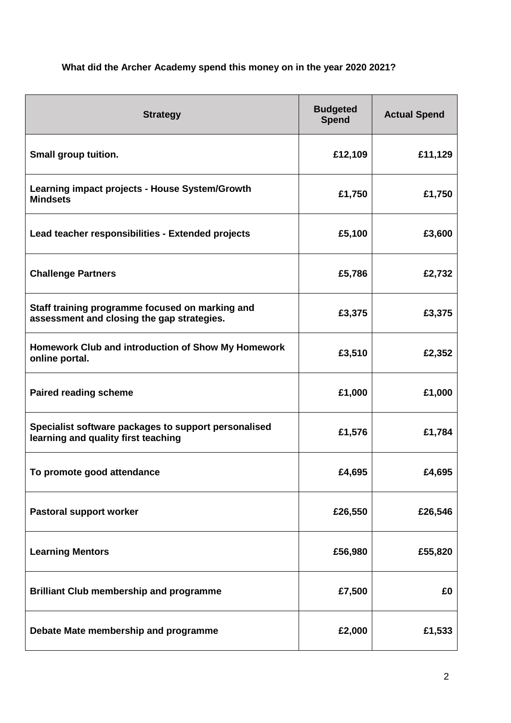# **What did the Archer Academy spend this money on in the year 2020 2021?**

| <b>Strategy</b>                                                                               | <b>Budgeted</b><br><b>Spend</b> | <b>Actual Spend</b> |
|-----------------------------------------------------------------------------------------------|---------------------------------|---------------------|
| Small group tuition.                                                                          | £12,109                         | £11,129             |
| Learning impact projects - House System/Growth<br><b>Mindsets</b>                             | £1,750                          | £1,750              |
| Lead teacher responsibilities - Extended projects                                             | £5,100                          | £3,600              |
| <b>Challenge Partners</b>                                                                     | £5,786                          | £2,732              |
| Staff training programme focused on marking and<br>assessment and closing the gap strategies. | £3,375                          | £3,375              |
| Homework Club and introduction of Show My Homework<br>online portal.                          | £3,510                          | £2,352              |
| <b>Paired reading scheme</b>                                                                  | £1,000                          | £1,000              |
| Specialist software packages to support personalised<br>learning and quality first teaching   | £1,576                          | £1,784              |
| To promote good attendance                                                                    | £4,695                          | £4,695              |
| Pastoral support worker                                                                       | £26,550                         | £26,546             |
| <b>Learning Mentors</b>                                                                       | £56,980                         | £55,820             |
| <b>Brilliant Club membership and programme</b>                                                | £7,500                          | £0                  |
| Debate Mate membership and programme                                                          | £2,000                          | £1,533              |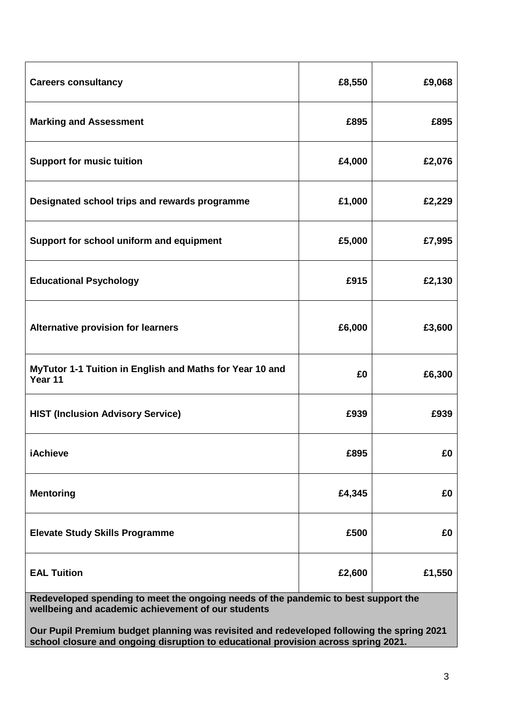| <b>Careers consultancy</b>                                          | £8,550 | £9,068 |
|---------------------------------------------------------------------|--------|--------|
| <b>Marking and Assessment</b>                                       | £895   | £895   |
| <b>Support for music tuition</b>                                    | £4,000 | £2,076 |
| Designated school trips and rewards programme                       | £1,000 | £2,229 |
| Support for school uniform and equipment                            | £5,000 | £7,995 |
| <b>Educational Psychology</b>                                       | £915   | £2,130 |
| <b>Alternative provision for learners</b>                           | £6,000 | £3,600 |
| MyTutor 1-1 Tuition in English and Maths for Year 10 and<br>Year 11 | £0     | £6,300 |
| <b>HIST (Inclusion Advisory Service)</b>                            | £939   | £939   |
| <b>iAchieve</b>                                                     | £895   | £0     |
| <b>Mentoring</b>                                                    | £4,345 | £0     |
| <b>Elevate Study Skills Programme</b>                               | £500   | £0     |
| <b>EAL Tuition</b>                                                  | £2,600 | £1,550 |

**Redeveloped spending to meet the ongoing needs of the pandemic to best support the wellbeing and academic achievement of our students** 

**Our Pupil Premium budget planning was revisited and redeveloped following the spring 2021 school closure and ongoing disruption to educational provision across spring 2021.**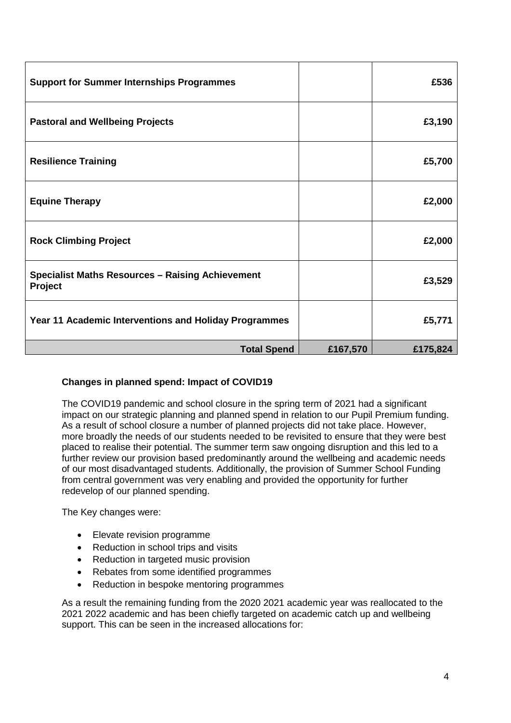| <b>Support for Summer Internships Programmes</b>                   |          | £536     |
|--------------------------------------------------------------------|----------|----------|
| <b>Pastoral and Wellbeing Projects</b>                             |          | £3,190   |
| <b>Resilience Training</b>                                         |          | £5,700   |
| <b>Equine Therapy</b>                                              |          | £2,000   |
| <b>Rock Climbing Project</b>                                       |          | £2,000   |
| <b>Specialist Maths Resources - Raising Achievement</b><br>Project |          | £3,529   |
| Year 11 Academic Interventions and Holiday Programmes              |          | £5,771   |
| <b>Total Spend</b>                                                 | £167,570 | £175,824 |

# **Changes in planned spend: Impact of COVID19**

The COVID19 pandemic and school closure in the spring term of 2021 had a significant impact on our strategic planning and planned spend in relation to our Pupil Premium funding. As a result of school closure a number of planned projects did not take place. However, more broadly the needs of our students needed to be revisited to ensure that they were best placed to realise their potential. The summer term saw ongoing disruption and this led to a further review our provision based predominantly around the wellbeing and academic needs of our most disadvantaged students. Additionally, the provision of Summer School Funding from central government was very enabling and provided the opportunity for further redevelop of our planned spending.

The Key changes were:

- Elevate revision programme
- Reduction in school trips and visits
- Reduction in targeted music provision
- Rebates from some identified programmes
- Reduction in bespoke mentoring programmes

As a result the remaining funding from the 2020 2021 academic year was reallocated to the 2021 2022 academic and has been chiefly targeted on academic catch up and wellbeing support. This can be seen in the increased allocations for: